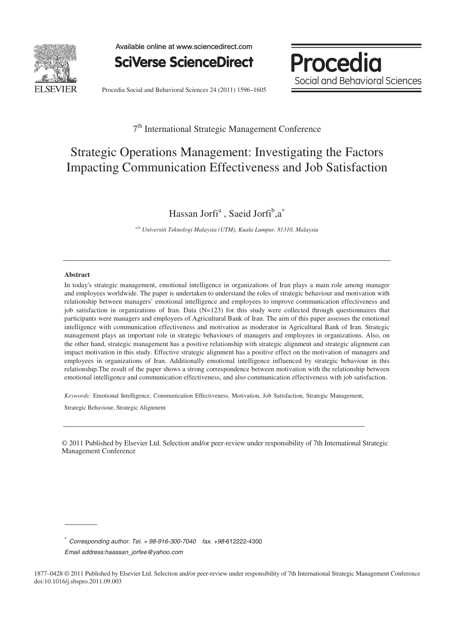

Available online at www.sciencedirect.com

**SciVerse ScienceDirect** 



Procedia Social and Behavioral Sciences 24 (2011) 1596–1605

# 7th International Strategic Management Conference

# Strategic Operations Management: Investigating the Factors Impacting Communication Effectiveness and Job Satisfaction

Hassan Jorfi<sup>a</sup>, Saeid Jorfi<sup>b</sup>,a<sup>\*</sup>

*a,b Universiti Teknologi Malaysia (UTM), Kuala Lumpur, 81310, Malaysia* 

#### **Abstract**

In today's strategic management, emotional intelligence in organizations of Iran plays a main role among manager and employees worldwide. The paper is undertaken to understand the roles of strategic behaviour and motivation with relationship between managers' emotional intelligence and employees to improve communication effectiveness and job satisfaction in organizations of Iran. Data (N=123) for this study were collected through questionnaires that participants were managers and employees of Agricultural Bank of Iran The aim of this paper assesses the emotional intelligence with communication effectiveness and motivation as moderator in Agricultural Bank of Iran. Strategic management plays an important role in strategic behaviours of managers and employees in organizations. Also, on the other hand, strategic management has a positive relationship with strategic alignment and strategic alignment can impact motivation in this study. Effective strategic alignment has a positive effect on the motivation of managers and employees in organizations of Iran. Additionally emotional intelligence influenced by strategic behaviour in this relationship. The result of the paper shows a strong correspondence between motivation with the relationship between emotional intelligence and communication effectiveness, and also communication effectiveness with job satisfaction.

*Keywords:* Emotional Intelligence, Communication Effectiveness, Motivation, Job Satisfaction, Strategic Management,

Strategic Behaviour, Strategic Alignment

© 2011 Published by Elsevier Ltd. Selection and/or peer-review under responsibility 7th International © 2011 Published by Elsevier Ltd. Selection and/or peer-review under responsibility of 7th International Strategic Strategic Management Conference Management Conference

<sup>∗</sup> *Corresponding author. Tel. + 98-916-300-7040 fax. +98-*612222-4300

*Email address:haassan\_jorfee@yahoo.com*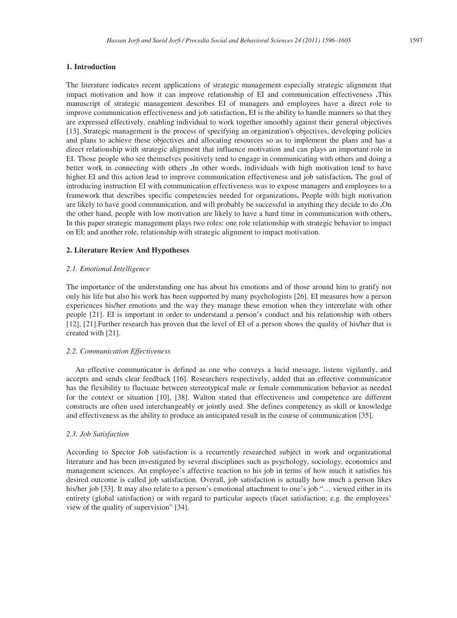# **1. Introduction**

The literature indicates recent applications of strategic management especially strategic alignment that impact motivation and how it can improve relationship of EI and communication effectiveness This manuscript of strategic management describes EI of managers and employees have a direct role to improve communication effectiveness and job satisfaction. EI is the ability to handle manners so that they are expressed effectively, enabling individual to work together smoothly against their general objectives [13]. Strategic management is the process of specifying an organization's objectives, developing policies and plans to achieve these objectives and allocating resources so as to implement the plans and has a direct relationship with strategic alignment that influence motivation and can plays an important role in EI. Those people who see themselves positively tend to engage in communicating with others and doing a better work in connecting with others In other words, individuals with high motivation tend to have higher EI and this action lead to improve communication effectiveness and job satisfaction. The goal of introducing instruction EI with communication effectiveness was to expose managers and employees to a framework that describes specific competencies needed for organizations People with high motivation are likely to have good communication, and will probably be successful in anything they decide to do .On the other hand, people with low motivation are likely to have a hard time in communication with others In this paper strategic management plays two roles: one role relationship with strategic behavior to impact on EI; and another role, relationship with strategic alignment to impact motivation.

#### **2. Literature Review And Hypotheses**

#### *2.1. Emotional Intelligence*

The importance of the understanding one has about his emotions and of those around him to gratify not only his life but also his work has been supported by many psychologists [26]. EI measures how a person experiences his/her emotions and the way they manage these emotion when they interrelate with other people [21]. EI is important in order to understand a person's conduct and his relationship with others [12], [21].Further research has proven that the level of EI of a person shows the quality of his/her that is created with [21].

# *2.2. Communication Effectiveness*

An effective communicator is defined as one who conveys a lucid message, listens vigilantly, and accepts and sends clear feedback [16]. Researchers respectively, added that an effective communicator has the flexibility to fluctuate between stereotypical male or female communication behavior as needed for the context or situation [10], [38]. Walton stated that effectiveness and competence are different constructs are often used interchangeably or jointly used. She defines competency as skill or knowledge and effectiveness as the ability to produce an anticipated result in the course of communication [35].

#### *2.3. Job Satisfaction*

According to Spector Job satisfaction is a recurrently researched subject in work and organizational literature and has been investigated by several disciplines such as psychology, sociology, economics and management sciences. An employee's affective reaction to his job in terms of how much it satisfies his desired outcome is called job satisfaction. Overall, job satisfaction is actually how much a person likes his/her job [33]. It may also relate to a person's emotional attachment to one's job "... viewed either in its entirety (global satisfaction) or with regard to particular aspects (facet satisfaction; e.g. the employees' view of the quality of supervision" [34].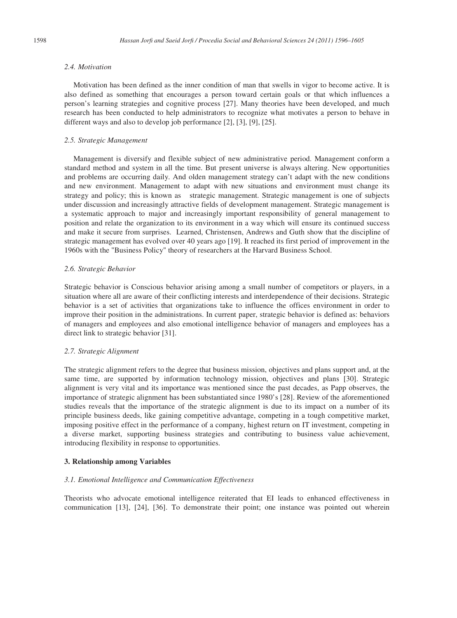# *2.4. Motivation*

Motivation has been defined as the inner condition of man that swells in vigor to become active. It is also defined as something that encourages a person toward certain goals or that which influences a person's learning strategies and cognitive process [27]. Many theories have been developed, and much research has been conducted to help administrators to recognize what motivates a person to behave in different ways and also to develop job performance [2], [3], [9], [25].

# *2.5. Strategic Management*

Management is diversify and flexible subject of new administrative period. Management conform a standard method and system in all the time. But present universe is always altering. New opportunities and problems are occurring daily. And olden management strategy can't adapt with the new conditions and new environment. Management to adapt with new situations and environment must change its strategy and policy; this is known as strategic management. Strategic management is one of subjects under discussion and increasingly attractive fields of development management. Strategic management is a systematic approach to major and increasingly important responsibility of general management to position and relate the organization to its environment in a way which will ensure its continued success and make it secure from surprises. Learned, Christensen, Andrews and Guth show that the discipline of strategic management has evolved over 40 years ago [19]. It reached its first period of improvement in the 1960s with the "Business Policy" theory of researchers at the Harvard Business School.

#### *2.6. Strategic Behavior*

Strategic behavior is Conscious behavior arising among a small number of competitors or players, in a situation where all are aware of their conflicting interests and interdependence of their decisions. Strategic behavior is a set of activities that organizations take to influence the offices environment in order to improve their position in the administrations. In current paper, strategic behavior is defined as: behaviors of managers and employees and also emotional intelligence behavior of managers and employees has a direct link to strategic behavior [31].

#### *2.7. Strategic Alignment*

The strategic alignment refers to the degree that business mission, objectives and plans support and, at the same time, are supported by information technology mission, objectives and plans [30]. Strategic alignment is very vital and its importance was mentioned since the past decades, as Papp observes, the importance of strategic alignment has been substantiated since 1980's [28]. Review of the aforementioned studies reveals that the importance of the strategic alignment is due to its impact on a number of its principle business deeds, like gaining competitive advantage, competing in a tough competitive market, imposing positive effect in the performance of a company, highest return on IT investment, competing in a diverse market, supporting business strategies and contributing to business value achievement, introducing flexibility in response to opportunities.

#### **3. Relationship among Variables**

## *3.1. Emotional Intelligence and Communication Effectiveness*

Theorists who advocate emotional intelligence reiterated that EI leads to enhanced effectiveness in communication [13], [24], [36]. To demonstrate their point; one instance was pointed out wherein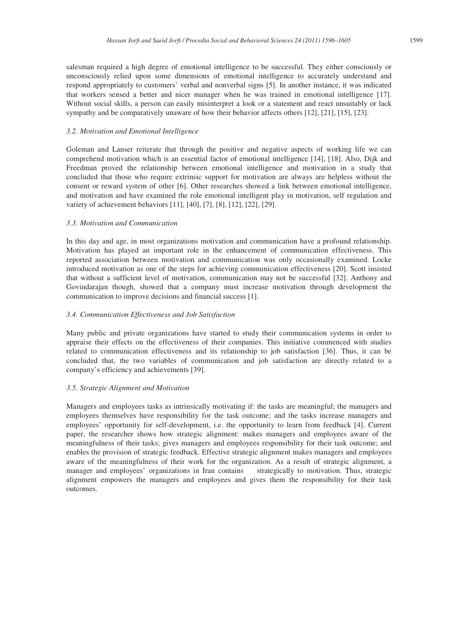salesman required a high degree of emotional intelligence to be successful. They either consciously or unconsciously relied upon some dimensions of emotional intelligence to accurately understand and respond appropriately to customers' verbal and nonverbal signs [5]. In another instance, it was indicated that workers sensed a better and nicer manager when he was trained in emotional intelligence [17]. Without social skills, a person can easily misinterpret a look or a statement and react unsuitably or lack sympathy and be comparatively unaware of how their behavior affects others [12], [21], [15], [23].

#### *3.2. Motivation and Emotional Intelligence*

Goleman and Lanser reiterate that through the positive and negative aspects of working life we can comprehend motivation which is an essential factor of emotional intelligence [14], [18]. Also, Dijk and Freedman proved the relationship between emotional intelligence and motivation in a study that concluded that those who require extrinsic support for motivation are always are helpless without the consent or reward system of other [6]. Other researches showed a link between emotional intelligence, and motivation and have examined the role emotional intelligent play in motivation, self regulation and variety of achievement behaviors [11], [40], [7], [8], [12], [22], [29].

# *3.3. Motivation and Communication*

In this day and age, in most organizations motivation and communication have a profound relationship. Motivation has played an important role in the enhancement of communication effectiveness. This reported association between motivation and communication was only occasionally examined. Locke introduced motivation as one of the steps for achieving communication effectiveness [20]. Scott insisted that without a sufficient level of motivation, communication may not be successful [32]. Anthony and Govindarajan though, showed that a company must increase motivation through development the communication to improve decisions and financial success [1].

# *3.4. Communication Effectiveness and Job Satisfaction*

Many public and private organizations have started to study their communication systems in order to appraise their effects on the effectiveness of their companies. This initiative commenced with studies related to communication effectiveness and its relationship to job satisfaction [36]. Thus, it can be concluded that, the two variables of communication and job satisfaction are directly related to a company's efficiency and achievements [39].

# *3.5. Strategic Alignment and Motivation*

Managers and employees tasks as intrinsically motivating if: the tasks are meaningful; the managers and employees themselves have responsibility for the task outcome; and the tasks increase managers and employees' opportunity for self-development, i.e. the opportunity to learn from feedback [4]. Current paper, the researcher shows how strategic alignment: makes managers and employees aware of the meaningfulness of their tasks; gives managers and employees responsibility for their task outcome; and enables the provision of strategic feedback. Effective strategic alignment makes managers and employees aware of the meaningfulness of their work for the organization. As a result of strategic alignment, a manager and employees' organizations in Iran contains strategically to motivation. Thus, strategic alignment empowers the managers and employees and gives them the responsibility for their task outcomes.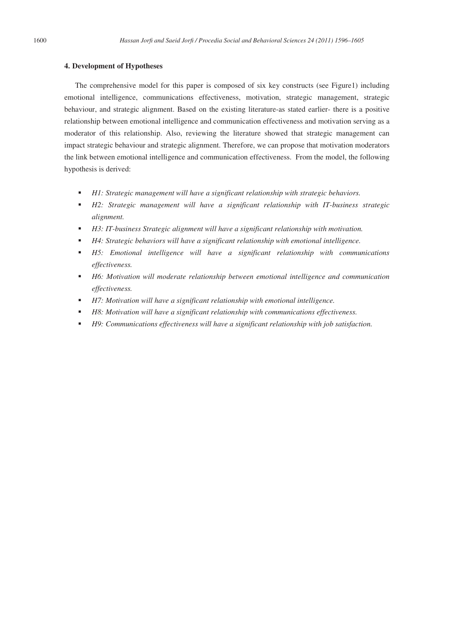# **4. Development of Hypotheses**

The comprehensive model for this paper is composed of six key constructs (see Figure1) including emotional intelligence, communications effectiveness, motivation, strategic management, strategic behaviour, and strategic alignment. Based on the existing literature-as stated earlier- there is a positive relationship between emotional intelligence and communication effectiveness and motivation serving as a moderator of this relationship. Also, reviewing the literature showed that strategic management can impact strategic behaviour and strategic alignment. Therefore, we can propose that motivation moderators the link between emotional intelligence and communication effectiveness. From the model, the following hypothesis is derived:

- *H1: Strategic management will have a significant relationship with strategic behaviors.*
- *H2: Strategic management will have a significant relationship with IT-business strategic alignment.*
- *H3: IT-business Strategic alignment will have a significant relationship with motivation.*
- *H4: Strategic behaviors will have a significant relationship with emotional intelligence.*
- *H5: Emotional intelligence will have a significant relationship with communications effectiveness.*
- *H6: Motivation will moderate relationship between emotional intelligence and communication effectiveness.*
- *H7: Motivation will have a significant relationship with emotional intelligence.*
- *H8: Motivation will have a significant relationship with communications effectiveness.*
- *H9: Communications effectiveness will have a significant relationship with job satisfaction.*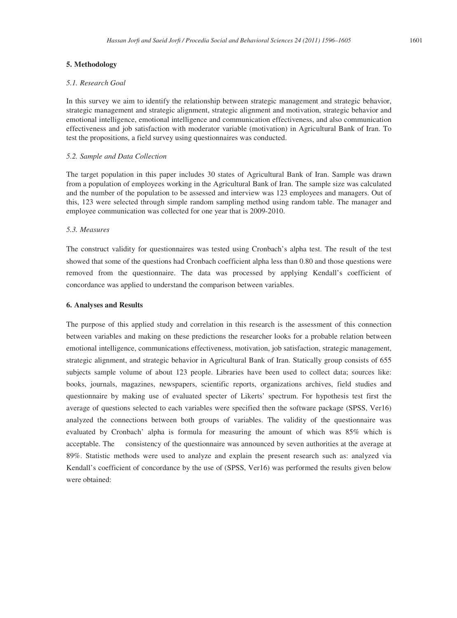# **5. Methodology**

# *5.1. Research Goal*

In this survey we aim to identify the relationship between strategic management and strategic behavior, strategic management and strategic alignment, strategic alignment and motivation, strategic behavior and emotional intelligence, emotional intelligence and communication effectiveness, and also communication effectiveness and job satisfaction with moderator variable (motivation) in Agricultural Bank of Iran. To test the propositions, a field survey using questionnaires was conducted.

# *5.2. Sample and Data Collection*

The target population in this paper includes 30 states of Agricultural Bank of Iran. Sample was drawn from a population of employees working in the Agricultural Bank of Iran. The sample size was calculated and the number of the population to be assessed and interview was 123 employees and managers. Out of this, 123 were selected through simple random sampling method using random table. The manager and employee communication was collected for one year that is 2009-2010.

#### *5.3. Measures*

The construct validity for questionnaires was tested using Cronbach's alpha test. The result of the test showed that some of the questions had Cronbach coefficient alpha less than 0.80 and those questions were removed from the questionnaire. The data was processed by applying Kendall's coefficient of concordance was applied to understand the comparison between variables.

# **6. Analyses and Results**

The purpose of this applied study and correlation in this research is the assessment of this connection between variables and making on these predictions the researcher looks for a probable relation between emotional intelligence, communications effectiveness, motivation, job satisfaction, strategic management, strategic alignment, and strategic behavior in Agricultural Bank of Iran. Statically group consists of 655 subjects sample volume of about 123 people. Libraries have been used to collect data; sources like: books, journals, magazines, newspapers, scientific reports, organizations archives, field studies and questionnaire by making use of evaluated specter of Likerts' spectrum. For hypothesis test first the average of questions selected to each variables were specified then the software package (SPSS, Ver16) analyzed the connections between both groups of variables. The validity of the questionnaire was evaluated by Cronbach' alpha is formula for measuring the amount of which was 85% which is acceptable. The consistency of the questionnaire was announced by seven authorities at the average at 89%. Statistic methods were used to analyze and explain the present research such as: analyzed via Kendall's coefficient of concordance by the use of (SPSS, Ver16) was performed the results given below were obtained: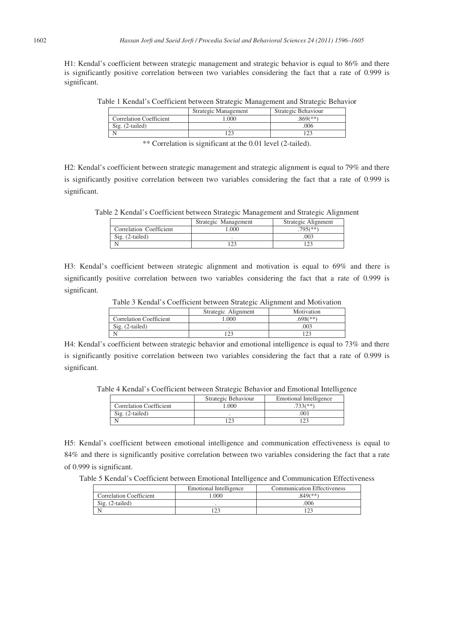H1: Kendal's coefficient between strategic management and strategic behavior is equal to 86% and there is significantly positive correlation between two variables considering the fact that a rate of 0.999 is significant.

Table 1 Kendal's Coefficient between Strategic Management and Strategic Behavior

|                                | Strategic Management | Strategic Behaviour |
|--------------------------------|----------------------|---------------------|
| <b>Correlation Coefficient</b> | 000                  | 869(**)             |
| $Sig. (2-tailed)$              |                      | .006                |
|                                |                      |                     |
|                                |                      |                     |

\*\* Correlation is significant at the 0.01 level (2-tailed).

H2: Kendal's coefficient between strategic management and strategic alignment is equal to 79% and there is significantly positive correlation between two variables considering the fact that a rate of 0.999 is significant.

Table 2 Kendal's Coefficient between Strategic Management and Strategic Alignment

|                         | Strategic Management | Strategic Alignment |
|-------------------------|----------------------|---------------------|
| Correlation Coefficient | .000                 | $705$ (**)          |
| Sig. (2-tailed)         |                      | 003                 |
|                         |                      |                     |

H3: Kendal's coefficient between strategic alignment and motivation is equal to 69% and there is significantly positive correlation between two variables considering the fact that a rate of 0.999 is significant.

|                                | Strategic Alignment | Motivation |
|--------------------------------|---------------------|------------|
| <b>Correlation Coefficient</b> | 000                 | $698$ (**) |
| Sig. (2-tailed)                |                     | 003        |
|                                |                     |            |

H4: Kendal's coefficient between strategic behavior and emotional intelligence is equal to 73% and there is significantly positive correlation between two variables considering the fact that a rate of 0.999 is significant.

Table 4 Kendal's Coefficient between Strategic Behavior and Emotional Intelligence

|                                | Strategic Behaviour | Emotional Intelligence |
|--------------------------------|---------------------|------------------------|
| <b>Correlation Coefficient</b> | .000                | $733$ $(**)$           |
| $Sig. (2-tailed)$              |                     | 001                    |
|                                | ه م،                | و د ۱                  |

H5: Kendal's coefficient between emotional intelligence and communication effectiveness is equal to 84% and there is significantly positive correlation between two variables considering the fact that a rate of 0.999 is significant.

Table 5 Kendal's Coefficient between Emotional Intelligence and Communication Effectiveness

|                                | Emotional Intelligence | <b>Communication Effectiveness</b> |
|--------------------------------|------------------------|------------------------------------|
| <b>Correlation Coefficient</b> | .000                   | 849(**)                            |
| Sig. (2-tailed)                |                        | 006                                |
|                                |                        |                                    |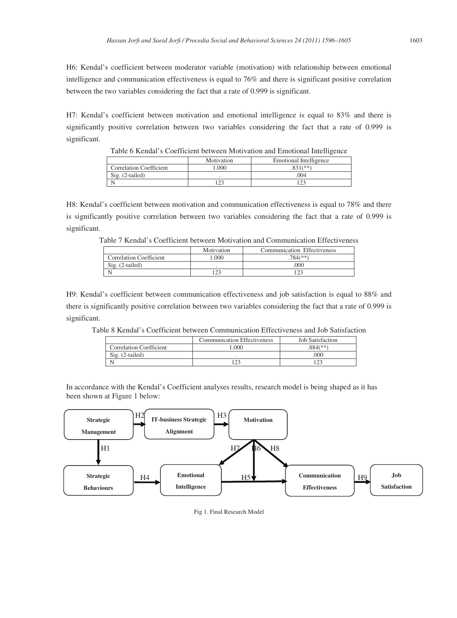H6: Kendal's coefficient between moderator variable (motivation) with relationship between emotional intelligence and communication effectiveness is equal to 76% and there is significant positive correlation between the two variables considering the fact that a rate of 0.999 is significant.

H7: Kendal's coefficient between motivation and emotional intelligence is equal to 83% and there is significantly positive correlation between two variables considering the fact that a rate of 0.999 is significant.

| Table 6 Kendal's Coefficient between Motivation and Emotional Intelligence |                                      |             |  |
|----------------------------------------------------------------------------|--------------------------------------|-------------|--|
|                                                                            | Motivation<br>Emotional Intelligence |             |  |
| <b>Correlation Coefficient</b>                                             | .000                                 | $31$ $(**)$ |  |
| $Sig. (2-tailed)$                                                          |                                      | .004        |  |
|                                                                            | つつ                                   |             |  |

H8: Kendal's coefficient between motivation and communication effectiveness is equal to 78% and there is significantly positive correlation between two variables considering the fact that a rate of 0.999 is significant.

Table 7 Kendal's Coefficient between Motivation and Communication Effectiveness

|                                | Motivation | Communication Effectiveness |
|--------------------------------|------------|-----------------------------|
| <b>Correlation Coefficient</b> | .000       | .784(**)                    |
| Sig. (2-tailed)                |            | 000                         |
|                                |            |                             |

H9: Kendal's coefficient between communication effectiveness and job satisfaction is equal to 88% and there is significantly positive correlation between two variables considering the fact that a rate of 0.999 is significant.

Table 8 Kendal's Coefficient between Communication Effectiveness and Job Satisfaction

|                                | <b>Communication Effectiveness</b> | Job Satisfaction |
|--------------------------------|------------------------------------|------------------|
| <b>Correlation Coefficient</b> | .000                               | $884$ (**        |
| $Sig. (2-tailed)$              |                                    | .000             |
|                                |                                    |                  |

In accordance with the Kendal's Coefficient analyses results, research model is being shaped as it has been shown at Figure 1 below:



Fig 1. Final Research Model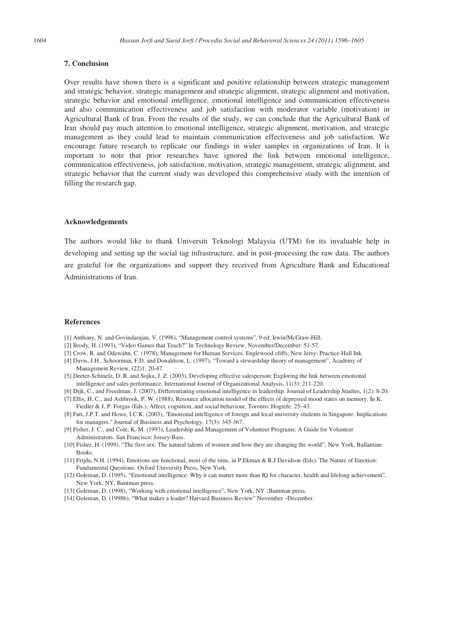# **7. Conclusion**

Over results have shown there is a significant and positive relationship between strategic management and strategic behavior, strategic management and strategic alignment, strategic alignment and motivation, strategic behavior and emotional intelligence, emotional intelligence and communication effectiveness and also communication effectiveness and job satisfaction with moderator variable (motivation) in Agricultural Bank of Iran. From the results of the study, we can conclude that the Agricultural Bank of Iran should pay much attention to emotional intelligence, strategic alignment, motivation, and strategic management as they could lead to maintain communication effectiveness and job satisfaction. We encourage future research to replicate our findings in wider samples in organizations of Iran. It is important to note that prior researches have ignored the link between emotional intelligence, communication effectiveness, job satisfaction, motivation, strategic management, strategic alignment, and strategic behavior that the current study was developed this comprehensive study with the intention of filling the research gap.

#### **Acknowledgements**

The authors would like to thank Universiti Teknologi Malaysia (UTM) for its invaluable help in developing and setting up the social tag infrastructure, and in post-processing the raw data. The authors are grateful for the organizations and support they received from Agriculture Bank and Educational Administrations of Iran.

#### **References**

- [1] Anthony, N. and Govindarajan, V. (1998), "Management control systems", 9 ed. Irwin/McGraw-Hill.
- [2] Brody, H. (1993), "Video Games that Teach?" In Technology Review, November/December: 51-57.
- [3] Crow, R. and Odewahn, C. (1978), Management for Human Services. Englewood cliffs, New Jersy: Practice-Hall Ink.
- [4] Davis, J.H., Schoorman, F.D. and Donaldson, L. (1997), "Toward a stewardship theory of management", Academy of Management Review, (22)1: 20-47.
- [5] Deeter-Schmelz, D. R. and Sojka, J. Z. (2003), Developing effective salesperson: Exploring the link between emotional intelligence and sales performance. International Journal of Organizational Analysis, 11(3): 211-220.
- [6] Dijk, C., and Freedman, J. (2007), Differentiating emotional intelligence in leadership. Journal of Leadership Studies, 1(2): 8-20.
- [7] Ellis, H. C., and Ashbrook, P. W. (1988), Resource allocation model of the effects of depressed mood states on memory. In K. Fiedler & J. P. Forgas (Eds.), Affect, cognition, and social behaviour, Toronto: Hogrefe: 25–43.
- [8] Fatt, J.P.T. and Howe, I.C.K. (2003), "Emotional intelligence of foreign and local university students in Singapore: Implications for managers." Journal of Business and Psychology, 17(3): 345-367.
- [9] Fisher, J. C., and Cole, K. M. (1993), Leadership and Management of Volunteer Programs: A Guide for Volunteer Administrators. San Francisco: Jossey-Bass.
- [10] Fisher, H. (1999), "The first sex: The natural talents of women and how they are changing the world", New York, Ballantine Books.
- [11] Frijda, N.H. (1994), Emotions are functional, most of the time, in P.Ekman & R.J Davidson (Eds). The Nature of Emotion: Fundamental Questions. Oxford University Press, New York.
- [12] Goleman, D. (1995), "Emotional intelligence: Why it can matter more than IQ for character, health and lifelong achievement", New York, NY, Bantman press.
- [13] Goleman, D. (1998), "Working with emotional intelligence", New York, NY : Bantman press.
- [14] Goleman, D. (1998b), "What makes a leader? Harvard Business Review" November -December.